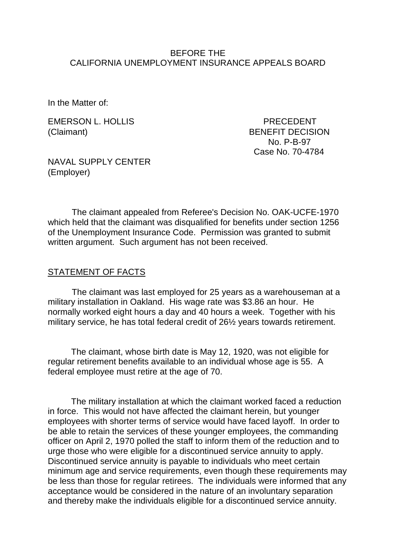#### BEFORE THE CALIFORNIA UNEMPLOYMENT INSURANCE APPEALS BOARD

In the Matter of:

EMERSON L. HOLLIS PRECEDENT (Claimant) BENEFIT DECISION

 No. P-B-97 Case No. 70-4784

NAVAL SUPPLY CENTER (Employer)

The claimant appealed from Referee's Decision No. OAK-UCFE-1970 which held that the claimant was disqualified for benefits under section 1256 of the Unemployment Insurance Code. Permission was granted to submit written argument. Such argument has not been received.

### STATEMENT OF FACTS

The claimant was last employed for 25 years as a warehouseman at a military installation in Oakland. His wage rate was \$3.86 an hour. He normally worked eight hours a day and 40 hours a week. Together with his military service, he has total federal credit of 26½ years towards retirement.

The claimant, whose birth date is May 12, 1920, was not eligible for regular retirement benefits available to an individual whose age is 55. A federal employee must retire at the age of 70.

The military installation at which the claimant worked faced a reduction in force. This would not have affected the claimant herein, but younger employees with shorter terms of service would have faced layoff. In order to be able to retain the services of these younger employees, the commanding officer on April 2, 1970 polled the staff to inform them of the reduction and to urge those who were eligible for a discontinued service annuity to apply. Discontinued service annuity is payable to individuals who meet certain minimum age and service requirements, even though these requirements may be less than those for regular retirees. The individuals were informed that any acceptance would be considered in the nature of an involuntary separation and thereby make the individuals eligible for a discontinued service annuity.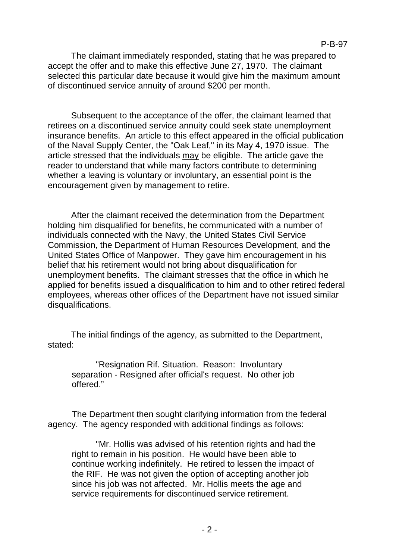The claimant immediately responded, stating that he was prepared to accept the offer and to make this effective June 27, 1970. The claimant selected this particular date because it would give him the maximum amount of discontinued service annuity of around \$200 per month.

Subsequent to the acceptance of the offer, the claimant learned that retirees on a discontinued service annuity could seek state unemployment insurance benefits. An article to this effect appeared in the official publication of the Naval Supply Center, the "Oak Leaf," in its May 4, 1970 issue. The article stressed that the individuals may be eligible. The article gave the reader to understand that while many factors contribute to determining whether a leaving is voluntary or involuntary, an essential point is the encouragement given by management to retire.

After the claimant received the determination from the Department holding him disqualified for benefits, he communicated with a number of individuals connected with the Navy, the United States Civil Service Commission, the Department of Human Resources Development, and the United States Office of Manpower. They gave him encouragement in his belief that his retirement would not bring about disqualification for unemployment benefits. The claimant stresses that the office in which he applied for benefits issued a disqualification to him and to other retired federal employees, whereas other offices of the Department have not issued similar disqualifications.

The initial findings of the agency, as submitted to the Department, stated:

"Resignation Rif. Situation. Reason: Involuntary separation - Resigned after official's request. No other job offered."

The Department then sought clarifying information from the federal agency. The agency responded with additional findings as follows:

"Mr. Hollis was advised of his retention rights and had the right to remain in his position. He would have been able to continue working indefinitely. He retired to lessen the impact of the RIF. He was not given the option of accepting another job since his job was not affected. Mr. Hollis meets the age and service requirements for discontinued service retirement.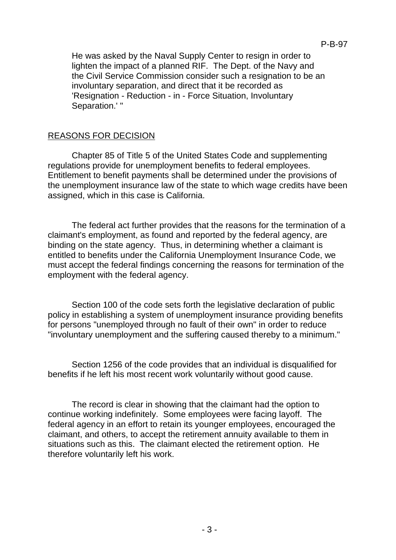He was asked by the Naval Supply Center to resign in order to lighten the impact of a planned RIF. The Dept. of the Navy and the Civil Service Commission consider such a resignation to be an involuntary separation, and direct that it be recorded as 'Resignation - Reduction - in - Force Situation, Involuntary Separation.' "

# REASONS FOR DECISION

Chapter 85 of Title 5 of the United States Code and supplementing regulations provide for unemployment benefits to federal employees. Entitlement to benefit payments shall be determined under the provisions of the unemployment insurance law of the state to which wage credits have been assigned, which in this case is California.

The federal act further provides that the reasons for the termination of a claimant's employment, as found and reported by the federal agency, are binding on the state agency. Thus, in determining whether a claimant is entitled to benefits under the California Unemployment Insurance Code, we must accept the federal findings concerning the reasons for termination of the employment with the federal agency.

Section 100 of the code sets forth the legislative declaration of public policy in establishing a system of unemployment insurance providing benefits for persons "unemployed through no fault of their own" in order to reduce "involuntary unemployment and the suffering caused thereby to a minimum."

Section 1256 of the code provides that an individual is disqualified for benefits if he left his most recent work voluntarily without good cause.

The record is clear in showing that the claimant had the option to continue working indefinitely. Some employees were facing layoff. The federal agency in an effort to retain its younger employees, encouraged the claimant, and others, to accept the retirement annuity available to them in situations such as this. The claimant elected the retirement option. He therefore voluntarily left his work.